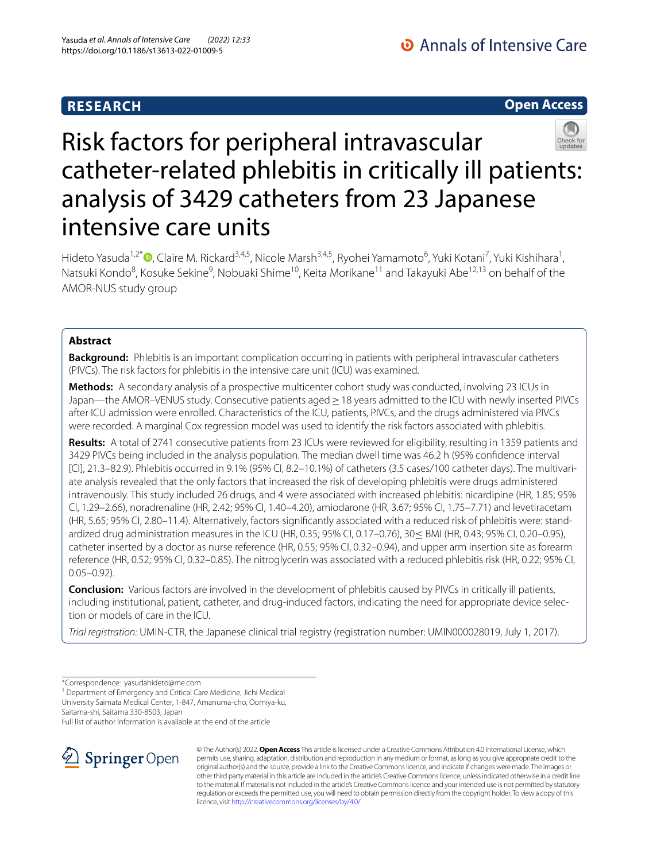## **RESEARCH**

**Open Access**

# Risk factors for peripheral intravascular catheter-related phlebitis in critically ill patients: analysis of 3429 catheters from 23 Japanese intensive care units

Hideto Yasuda<sup>1,2\*</sup>®[,](http://orcid.org/0000-0003-3153-1595) Claire M. Rickard<sup>3,4,5</sup>, Nicole Marsh<sup>3,4,5</sup>, Ryohei Yamamoto<sup>6</sup>, Yuki Kotani<sup>7</sup>, Yuki Kishihara<sup>1</sup>, Natsuki Kondo<sup>8</sup>, Kosuke Sekine<sup>9</sup>, Nobuaki Shime<sup>10</sup>, Keita Morikane<sup>11</sup> and Takayuki Abe<sup>12,13</sup> on behalf of the AMOR-NUS study group

## **Abstract**

**Background:** Phlebitis is an important complication occurring in patients with peripheral intravascular catheters (PIVCs). The risk factors for phlebitis in the intensive care unit (ICU) was examined.

**Methods:** A secondary analysis of a prospective multicenter cohort study was conducted, involving 23 ICUs in Japan—the AMOR–VENUS study. Consecutive patients aged ≥ 18 years admitted to the ICU with newly inserted PIVCs after ICU admission were enrolled. Characteristics of the ICU, patients, PIVCs, and the drugs administered via PIVCs were recorded. A marginal Cox regression model was used to identify the risk factors associated with phlebitis.

**Results:** A total of 2741 consecutive patients from 23 ICUs were reviewed for eligibility, resulting in 1359 patients and 3429 PIVCs being included in the analysis population. The median dwell time was 46.2 h (95% confdence interval [CI], 21.3–82.9). Phlebitis occurred in 9.1% (95% CI, 8.2–10.1%) of catheters (3.5 cases/100 catheter days). The multivariate analysis revealed that the only factors that increased the risk of developing phlebitis were drugs administered intravenously. This study included 26 drugs, and 4 were associated with increased phlebitis: nicardipine (HR, 1.85; 95% CI, 1.29–2.66), noradrenaline (HR, 2.42; 95% CI, 1.40–4.20), amiodarone (HR, 3.67; 95% CI, 1.75–7.71) and levetiracetam (HR, 5.65; 95% CI, 2.80–11.4). Alternatively, factors signifcantly associated with a reduced risk of phlebitis were: standardized drug administration measures in the ICU (HR, 0.35; 95% CI, 0.17–0.76), 30≤ BMI (HR, 0.43; 95% CI, 0.20–0.95), catheter inserted by a doctor as nurse reference (HR, 0.55; 95% CI, 0.32–0.94), and upper arm insertion site as forearm reference (HR, 0.52; 95% CI, 0.32–0.85). The nitroglycerin was associated with a reduced phlebitis risk (HR, 0.22; 95% CI, 0.05–0.92).

**Conclusion:** Various factors are involved in the development of phlebitis caused by PIVCs in critically ill patients, including institutional, patient, catheter, and drug-induced factors, indicating the need for appropriate device selection or models of care in the ICU.

*Trial registration:* UMIN-CTR, the Japanese clinical trial registry (registration number: UMIN000028019, July 1, 2017).

\*Correspondence: yasudahideto@me.com

<sup>1</sup> Department of Emergency and Critical Care Medicine, Jichi Medical University Saimata Medical Center, 1-847, Amanuma-cho, Oomiya-ku, Saitama-shi, Saitama 330-8503, Japan

Full list of author information is available at the end of the article



© The Author(s) 2022. **Open Access** This article is licensed under a Creative Commons Attribution 4.0 International License, which permits use, sharing, adaptation, distribution and reproduction in any medium or format, as long as you give appropriate credit to the original author(s) and the source, provide a link to the Creative Commons licence, and indicate if changes were made. The images or other third party material in this article are included in the article's Creative Commons licence, unless indicated otherwise in a credit line to the material. If material is not included in the article's Creative Commons licence and your intended use is not permitted by statutory regulation or exceeds the permitted use, you will need to obtain permission directly from the copyright holder. To view a copy of this licence, visit [http://creativecommons.org/licenses/by/4.0/.](http://creativecommons.org/licenses/by/4.0/)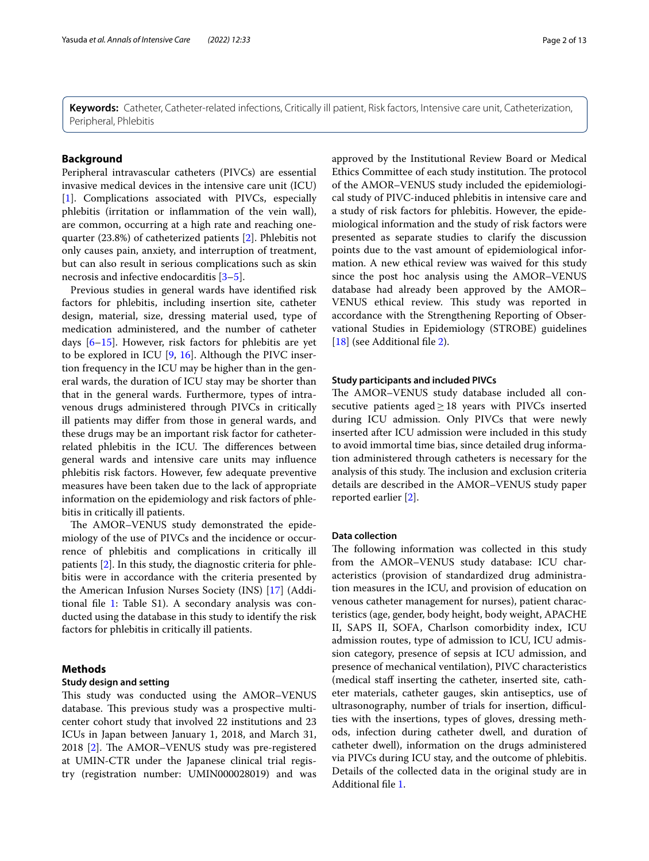**Keywords:** Catheter, Catheter-related infections, Critically ill patient, Risk factors, Intensive care unit, Catheterization, Peripheral, Phlebitis

#### **Background**

Peripheral intravascular catheters (PIVCs) are essential invasive medical devices in the intensive care unit (ICU) [[1\]](#page-11-0). Complications associated with PIVCs, especially phlebitis (irritation or infammation of the vein wall), are common, occurring at a high rate and reaching onequarter (23.8%) of catheterized patients [\[2](#page-11-1)]. Phlebitis not only causes pain, anxiety, and interruption of treatment, but can also result in serious complications such as skin necrosis and infective endocarditis [[3–](#page-11-2)[5](#page-11-3)].

Previous studies in general wards have identifed risk factors for phlebitis, including insertion site, catheter design, material, size, dressing material used, type of medication administered, and the number of catheter days [\[6–](#page-11-4)[15\]](#page-11-5). However, risk factors for phlebitis are yet to be explored in ICU [[9,](#page-11-6) [16\]](#page-11-7). Although the PIVC insertion frequency in the ICU may be higher than in the general wards, the duration of ICU stay may be shorter than that in the general wards. Furthermore, types of intravenous drugs administered through PIVCs in critically ill patients may difer from those in general wards, and these drugs may be an important risk factor for catheterrelated phlebitis in the ICU. The differences between general wards and intensive care units may infuence phlebitis risk factors. However, few adequate preventive measures have been taken due to the lack of appropriate information on the epidemiology and risk factors of phlebitis in critically ill patients.

The AMOR–VENUS study demonstrated the epidemiology of the use of PIVCs and the incidence or occurrence of phlebitis and complications in critically ill patients [[2\]](#page-11-1). In this study, the diagnostic criteria for phlebitis were in accordance with the criteria presented by the American Infusion Nurses Society (INS) [[17](#page-11-8)] (Addi-tional file [1](#page-10-0): Table S1). A secondary analysis was conducted using the database in this study to identify the risk factors for phlebitis in critically ill patients.

### **Methods**

#### **Study design and setting**

This study was conducted using the AMOR–VENUS database. This previous study was a prospective multicenter cohort study that involved 22 institutions and 23 ICUs in Japan between January 1, 2018, and March 31, 2018 [\[2](#page-11-1)]. The AMOR–VENUS study was pre-registered at UMIN-CTR under the Japanese clinical trial registry (registration number: UMIN000028019) and was

approved by the Institutional Review Board or Medical Ethics Committee of each study institution. The protocol of the AMOR–VENUS study included the epidemiological study of PIVC-induced phlebitis in intensive care and a study of risk factors for phlebitis. However, the epidemiological information and the study of risk factors were presented as separate studies to clarify the discussion points due to the vast amount of epidemiological information. A new ethical review was waived for this study since the post hoc analysis using the AMOR–VENUS database had already been approved by the AMOR– VENUS ethical review. This study was reported in accordance with the Strengthening Reporting of Observational Studies in Epidemiology (STROBE) guidelines [[18\]](#page-11-9) (see Additional file [2](#page-10-1)).

#### **Study participants and included PIVCs**

The AMOR-VENUS study database included all consecutive patients aged $\geq$ 18 years with PIVCs inserted during ICU admission. Only PIVCs that were newly inserted after ICU admission were included in this study to avoid immortal time bias, since detailed drug information administered through catheters is necessary for the analysis of this study. The inclusion and exclusion criteria details are described in the AMOR–VENUS study paper reported earlier [\[2](#page-11-1)].

#### **Data collection**

The following information was collected in this study from the AMOR–VENUS study database: ICU characteristics (provision of standardized drug administration measures in the ICU, and provision of education on venous catheter management for nurses), patient characteristics (age, gender, body height, body weight, APACHE II, SAPS II, SOFA, Charlson comorbidity index, ICU admission routes, type of admission to ICU, ICU admission category, presence of sepsis at ICU admission, and presence of mechanical ventilation), PIVC characteristics (medical staf inserting the catheter, inserted site, catheter materials, catheter gauges, skin antiseptics, use of ultrasonography, number of trials for insertion, difficulties with the insertions, types of gloves, dressing methods, infection during catheter dwell, and duration of catheter dwell), information on the drugs administered via PIVCs during ICU stay, and the outcome of phlebitis. Details of the collected data in the original study are in Additional fle [1](#page-10-0).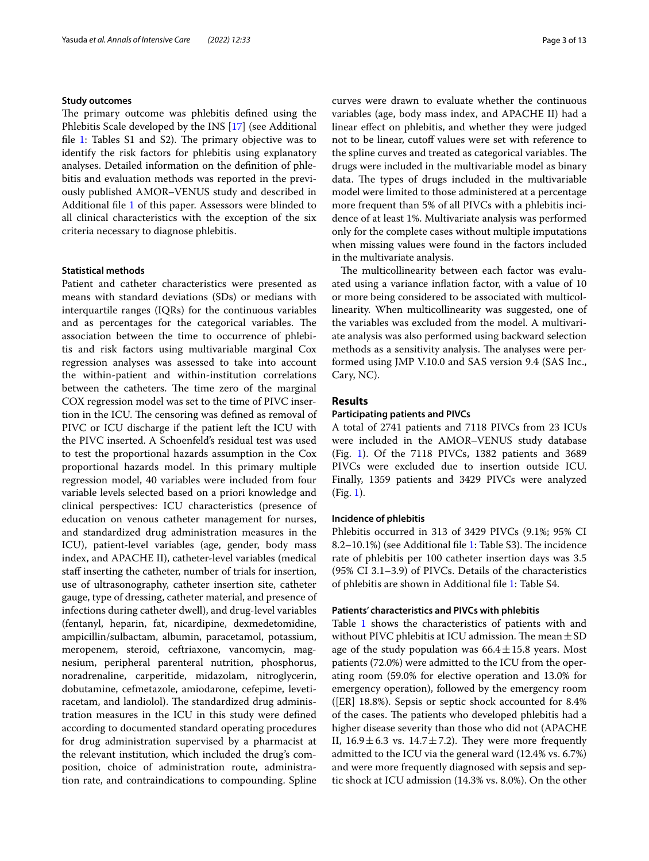## **Study outcomes**

The primary outcome was phlebitis defined using the Phlebitis Scale developed by the INS [[17](#page-11-8)] (see Additional file [1:](#page-10-0) Tables  $S1$  and  $S2$ ). The primary objective was to identify the risk factors for phlebitis using explanatory analyses. Detailed information on the defnition of phlebitis and evaluation methods was reported in the previously published AMOR–VENUS study and described in Additional fle [1](#page-10-0) of this paper. Assessors were blinded to all clinical characteristics with the exception of the six criteria necessary to diagnose phlebitis.

#### **Statistical methods**

Patient and catheter characteristics were presented as means with standard deviations (SDs) or medians with interquartile ranges (IQRs) for the continuous variables and as percentages for the categorical variables. The association between the time to occurrence of phlebitis and risk factors using multivariable marginal Cox regression analyses was assessed to take into account the within-patient and within-institution correlations between the catheters. The time zero of the marginal COX regression model was set to the time of PIVC insertion in the ICU. The censoring was defined as removal of PIVC or ICU discharge if the patient left the ICU with the PIVC inserted. A Schoenfeld's residual test was used to test the proportional hazards assumption in the Cox proportional hazards model. In this primary multiple regression model, 40 variables were included from four variable levels selected based on a priori knowledge and clinical perspectives: ICU characteristics (presence of education on venous catheter management for nurses, and standardized drug administration measures in the ICU), patient-level variables (age, gender, body mass index, and APACHE II), catheter-level variables (medical staff inserting the catheter, number of trials for insertion, use of ultrasonography, catheter insertion site, catheter gauge, type of dressing, catheter material, and presence of infections during catheter dwell), and drug-level variables (fentanyl, heparin, fat, nicardipine, dexmedetomidine, ampicillin/sulbactam, albumin, paracetamol, potassium, meropenem, steroid, ceftriaxone, vancomycin, magnesium, peripheral parenteral nutrition, phosphorus, noradrenaline, carperitide, midazolam, nitroglycerin, dobutamine, cefmetazole, amiodarone, cefepime, levetiracetam, and landiolol). The standardized drug administration measures in the ICU in this study were defned according to documented standard operating procedures for drug administration supervised by a pharmacist at the relevant institution, which included the drug's composition, choice of administration route, administration rate, and contraindications to compounding. Spline curves were drawn to evaluate whether the continuous variables (age, body mass index, and APACHE II) had a linear efect on phlebitis, and whether they were judged not to be linear, cutoff values were set with reference to the spline curves and treated as categorical variables. The drugs were included in the multivariable model as binary data. The types of drugs included in the multivariable model were limited to those administered at a percentage more frequent than 5% of all PIVCs with a phlebitis incidence of at least 1%. Multivariate analysis was performed only for the complete cases without multiple imputations when missing values were found in the factors included in the multivariate analysis.

The multicollinearity between each factor was evaluated using a variance infation factor, with a value of 10 or more being considered to be associated with multicollinearity. When multicollinearity was suggested, one of the variables was excluded from the model. A multivariate analysis was also performed using backward selection methods as a sensitivity analysis. The analyses were performed using JMP V.10.0 and SAS version 9.4 (SAS Inc., Cary, NC).

#### **Results**

#### **Participating patients and PIVCs**

A total of 2741 patients and 7118 PIVCs from 23 ICUs were included in the AMOR–VENUS study database (Fig. [1\)](#page-3-0). Of the 7118 PIVCs, 1382 patients and 3689 PIVCs were excluded due to insertion outside ICU. Finally, 1359 patients and 3429 PIVCs were analyzed (Fig. [1\)](#page-3-0).

#### **Incidence of phlebitis**

Phlebitis occurred in 313 of 3429 PIVCs (9.1%; 95% CI 8.2–[1](#page-10-0)0.1%) (see Additional file 1: Table S3). The incidence rate of phlebitis per 100 catheter insertion days was 3.5 (95% CI 3.1–3.9) of PIVCs. Details of the characteristics of phlebitis are shown in Additional fle [1](#page-10-0): Table S4.

#### **Patients' characteristics and PIVCs with phlebitis**

Table [1](#page-4-0) shows the characteristics of patients with and without PIVC phlebitis at ICU admission. The mean  $\pm$  SD age of the study population was  $66.4 \pm 15.8$  years. Most patients (72.0%) were admitted to the ICU from the operating room (59.0% for elective operation and 13.0% for emergency operation), followed by the emergency room ([ER] 18.8%). Sepsis or septic shock accounted for 8.4% of the cases. The patients who developed phlebitis had a higher disease severity than those who did not (APACHE II,  $16.9 \pm 6.3$  vs.  $14.7 \pm 7.2$ ). They were more frequently admitted to the ICU via the general ward (12.4% vs. 6.7%) and were more frequently diagnosed with sepsis and septic shock at ICU admission (14.3% vs. 8.0%). On the other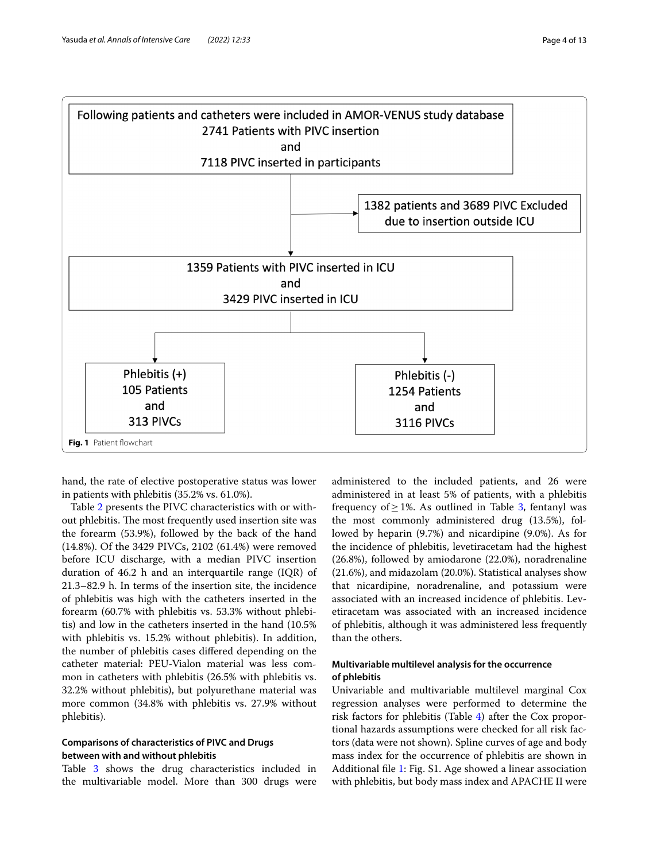

<span id="page-3-0"></span>hand, the rate of elective postoperative status was lower in patients with phlebitis (35.2% vs. 61.0%).

Table [2](#page-5-0) presents the PIVC characteristics with or without phlebitis. The most frequently used insertion site was the forearm (53.9%), followed by the back of the hand (14.8%). Of the 3429 PIVCs, 2102 (61.4%) were removed before ICU discharge, with a median PIVC insertion duration of 46.2 h and an interquartile range (IQR) of 21.3–82.9 h. In terms of the insertion site, the incidence of phlebitis was high with the catheters inserted in the forearm (60.7% with phlebitis vs. 53.3% without phlebitis) and low in the catheters inserted in the hand (10.5% with phlebitis vs. 15.2% without phlebitis). In addition, the number of phlebitis cases difered depending on the catheter material: PEU-Vialon material was less common in catheters with phlebitis (26.5% with phlebitis vs. 32.2% without phlebitis), but polyurethane material was more common (34.8% with phlebitis vs. 27.9% without phlebitis).

## **Comparisons of characteristics of PIVC and Drugs between with and without phlebitis**

Table [3](#page-6-0) shows the drug characteristics included in the multivariable model. More than 300 drugs were administered to the included patients, and 26 were administered in at least 5% of patients, with a phlebitis frequency of > 1%. As outlined in Table [3,](#page-6-0) fentanyl was the most commonly administered drug (13.5%), followed by heparin (9.7%) and nicardipine (9.0%). As for the incidence of phlebitis, levetiracetam had the highest (26.8%), followed by amiodarone (22.0%), noradrenaline (21.6%), and midazolam (20.0%). Statistical analyses show that nicardipine, noradrenaline, and potassium were associated with an increased incidence of phlebitis. Levetiracetam was associated with an increased incidence of phlebitis, although it was administered less frequently than the others.

## **Multivariable multilevel analysis for the occurrence of phlebitis**

Univariable and multivariable multilevel marginal Cox regression analyses were performed to determine the risk factors for phlebitis (Table [4\)](#page-7-0) after the Cox proportional hazards assumptions were checked for all risk factors (data were not shown). Spline curves of age and body mass index for the occurrence of phlebitis are shown in Additional fle [1:](#page-10-0) Fig. S1. Age showed a linear association with phlebitis, but body mass index and APACHE II were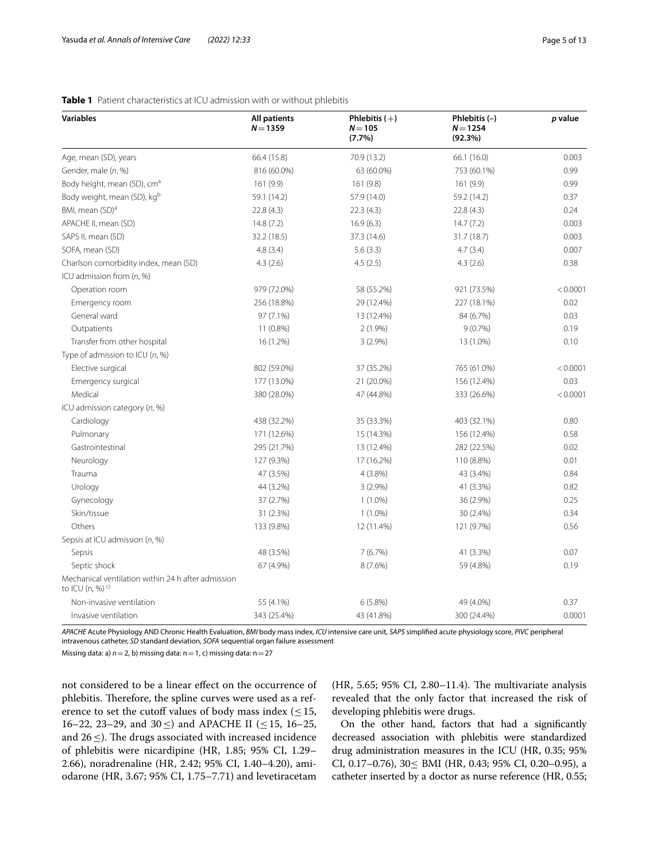| <b>Variables</b>                                                               | <b>All patients</b><br>$N = 1359$ | Phlebitis $(+)$<br>$N = 105$<br>(7.7%) | Phlebitis $(-)$<br>$N = 1254$<br>(92.3%) | p value  |
|--------------------------------------------------------------------------------|-----------------------------------|----------------------------------------|------------------------------------------|----------|
| Age, mean (SD), years                                                          | 66.4 (15.8)                       | 70.9 (13.2)                            | 66.1 (16.0)                              | 0.003    |
| Gender, male (n, %)                                                            | 816 (60.0%)                       | 63 (60.0%)                             | 753 (60.1%)                              | 0.99     |
| Body height, mean (SD), cm <sup>a</sup>                                        | 161 (9.9)                         | 161(9.8)                               | 161(9.9)                                 | 0.99     |
| Body weight, mean (SD), kg <sup>b</sup>                                        | 59.1 (14.2)                       | 57.9 (14.0)                            | 59.2 (14.2)                              | 0.37     |
| BMI, mean (SD) <sup>a</sup>                                                    | 22.8(4.3)                         | 22.3(4.3)                              | 22.8(4.3)                                | 0.24     |
| APACHE II, mean (SD)                                                           | 14.8(7.2)                         | 16.9(6.3)                              | 14.7(7.2)                                | 0.003    |
| SAPS II, mean (SD)                                                             | 32.2 (18.5)                       | 37.3 (14.6)                            | 31.7 (18.7)                              | 0.003    |
| SOFA, mean (SD)                                                                | 4.8(3.4)                          | 5.6(3.3)                               | 4.7(3.4)                                 | 0.007    |
| Charlson comorbidity index, mean (SD)                                          | 4.3(2.6)                          | 4.5(2.5)                               | 4.3(2.6)                                 | 0.38     |
| ICU admission from (n, %)                                                      |                                   |                                        |                                          |          |
| Operation room                                                                 | 979 (72.0%)                       | 58 (55.2%)                             | 921 (73.5%)                              | < 0.0001 |
| Emergency room                                                                 | 256 (18.8%)                       | 29 (12.4%)                             | 227 (18.1%)                              | 0.02     |
| General ward                                                                   | 97 (7.1%)                         | 13 (12.4%)                             | 84 (6.7%)                                | 0.03     |
| Outpatients                                                                    | $11(0.8\%)$                       | $2(1.9\%)$                             | 9(0.7%)                                  | 0.19     |
| Transfer from other hospital                                                   | 16 (1.2%)                         | 3(2.9%)                                | 13 (1.0%)                                | 0.10     |
| Type of admission to ICU $(n, %)$                                              |                                   |                                        |                                          |          |
| Elective surgical                                                              | 802 (59.0%)                       | 37 (35.2%)                             | 765 (61.0%)                              | < 0.0001 |
| Emergency surgical                                                             | 177 (13.0%)                       | 21 (20.0%)                             | 156 (12.4%)                              | 0.03     |
| Medical                                                                        | 380 (28.0%)                       | 47 (44.8%)                             | 333 (26.6%)                              | < 0.0001 |
| ICU admission category (n, %)                                                  |                                   |                                        |                                          |          |
| Cardiology                                                                     | 438 (32.2%)                       | 35 (33.3%)                             | 403 (32.1%)                              | 0.80     |
| Pulmonary                                                                      | 171 (12.6%)                       | 15 (14.3%)                             | 156 (12.4%)                              | 0.58     |
| Gastrointestinal                                                               | 295 (21.7%)                       | 13 (12.4%)                             | 282 (22.5%)                              | 0.02     |
| Neurology                                                                      | 127 (9.3%)                        | 17 (16.2%)                             | 110 (8.8%)                               | 0.01     |
| Trauma                                                                         | 47 (3.5%)                         | $4(3.8\%)$                             | 43 (3.4%)                                | 0.84     |
| Urology                                                                        | 44 (3.2%)                         | $3(2.9\%)$                             | 41 (3.3%)                                | 0.82     |
| Gynecology                                                                     | 37 (2.7%)                         | $1(1.0\%)$                             | 36 (2.9%)                                | 0.25     |
| Skin/tissue                                                                    | 31 (2.3%)                         | $1(1.0\%)$                             | 30 (2.4%)                                | 0.34     |
| Others                                                                         | 133 (9.8%)                        | 12 (11.4%)                             | 121 (9.7%)                               | 0.56     |
| Sepsis at ICU admission (n, %)                                                 |                                   |                                        |                                          |          |
| Sepsis                                                                         | 48 (3.5%)                         | 7(6.7%)                                | 41 (3.3%)                                | 0.07     |
| Septic shock                                                                   | 67 (4.9%)                         | 8(7.6%)                                | 59 (4.8%)                                | 0.19     |
| Mechanical ventilation within 24 h after admission<br>to ICU (n, %) $^{\circ}$ |                                   |                                        |                                          |          |
| Non-invasive ventilation                                                       | 55 (4.1%)                         | 6(5.8%)                                | 49 (4.0%)                                | 0.37     |
| Invasive ventilation                                                           | 343 (25.4%)                       | 43 (41.8%)                             | 300 (24.4%)                              | 0.0001   |

## <span id="page-4-0"></span>**Table 1** Patient characteristics at ICU admission with or without phlebitis

*APACHE* Acute Physiology AND Chronic Health Evaluation, *BMI* body mass index, *ICU* intensive care unit, *SAPS* simplifed acute physiology score, *PIVC* peripheral intravenous catheter, *SD* standard deviation, *SOFA* sequential organ failure assessment

Missing data: a) *n*=2, b) missing data: n=1, c) missing data: n=27

not considered to be a linear efect on the occurrence of phlebitis. Therefore, the spline curves were used as a reference to set the cutoff values of body mass index ( $\leq$ 15, 16–22, 23–29, and 30≤) and APACHE II (≤15, 16–25, and  $26 \leq$ ). The drugs associated with increased incidence of phlebitis were nicardipine (HR, 1.85; 95% CI, 1.29– 2.66), noradrenaline (HR, 2.42; 95% CI, 1.40–4.20), amiodarone (HR, 3.67; 95% CI, 1.75–7.71) and levetiracetam  $(HR, 5.65; 95\% \text{ CI}, 2.80-11.4)$ . The multivariate analysis revealed that the only factor that increased the risk of developing phlebitis were drugs.

On the other hand, factors that had a signifcantly decreased association with phlebitis were standardized drug administration measures in the ICU (HR, 0.35; 95% CI, 0.17–0.76),  $30 \leq \text{BMI (HR, 0.43; 95% CI, 0.20–0.95)}$ , a catheter inserted by a doctor as nurse reference (HR, 0.55;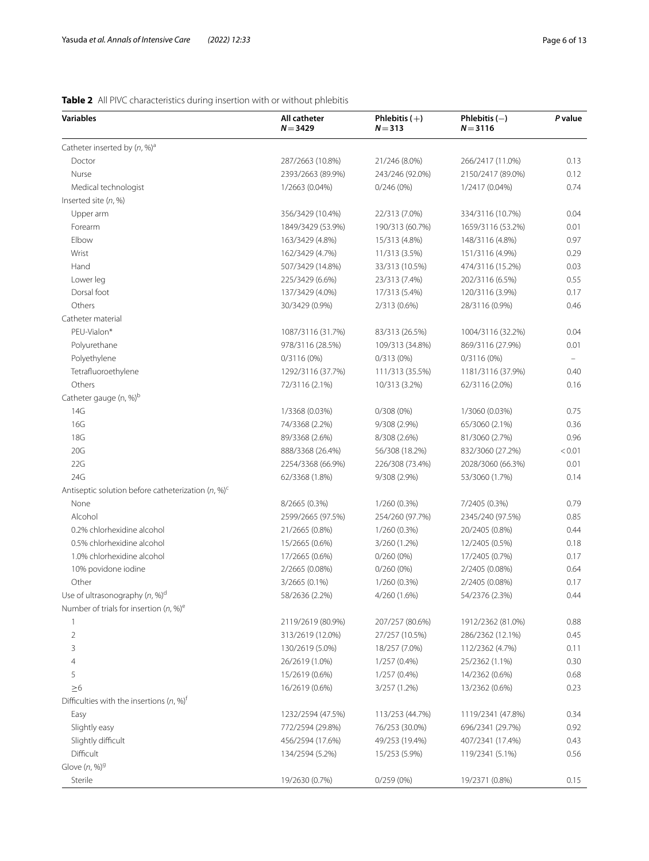## <span id="page-5-0"></span>**Table 2** All PIVC characteristics during insertion with or without phlebitis

| <b>Variables</b>                                      | All catheter<br>$N = 3429$ | Phlebitis $(+)$<br>$N = 313$ | Phlebitis $(-)$<br>$N = 3116$ | P value |
|-------------------------------------------------------|----------------------------|------------------------------|-------------------------------|---------|
| Catheter inserted by $(n, %)^a$                       |                            |                              |                               |         |
| Doctor                                                | 287/2663 (10.8%)           | 21/246 (8.0%)                | 266/2417 (11.0%)              | 0.13    |
| Nurse                                                 | 2393/2663 (89.9%)          | 243/246 (92.0%)              | 2150/2417 (89.0%)             | 0.12    |
| Medical technologist                                  | 1/2663 (0.04%)             | 0/246(0%)                    | 1/2417 (0.04%)                | 0.74    |
| Inserted site (n, %)                                  |                            |                              |                               |         |
| Upper arm                                             | 356/3429 (10.4%)           | 22/313 (7.0%)                | 334/3116 (10.7%)              | 0.04    |
| Forearm                                               | 1849/3429 (53.9%)          | 190/313 (60.7%)              | 1659/3116 (53.2%)             | 0.01    |
| Elbow                                                 | 163/3429 (4.8%)            | 15/313 (4.8%)                | 148/3116 (4.8%)               | 0.97    |
| Wrist                                                 | 162/3429 (4.7%)            | 11/313 (3.5%)                | 151/3116 (4.9%)               | 0.29    |
| Hand                                                  | 507/3429 (14.8%)           | 33/313 (10.5%)               | 474/3116 (15.2%)              | 0.03    |
| Lower leg                                             | 225/3429 (6.6%)            | 23/313 (7.4%)                | 202/3116 (6.5%)               | 0.55    |
| Dorsal foot                                           | 137/3429 (4.0%)            | 17/313 (5.4%)                | 120/3116 (3.9%)               | 0.17    |
| Others                                                | 30/3429 (0.9%)             | 2/313 (0.6%)                 | 28/3116 (0.9%)                | 0.46    |
| Catheter material                                     |                            |                              |                               |         |
| PEU-Vialon*                                           | 1087/3116 (31.7%)          | 83/313 (26.5%)               | 1004/3116 (32.2%)             | 0.04    |
| Polyurethane                                          | 978/3116 (28.5%)           | 109/313 (34.8%)              | 869/3116 (27.9%)              | 0.01    |
| Polyethylene                                          | $0/3116(0\%)$              | 0/313(0%)                    | $0/3116(0\%)$                 |         |
| Tetrafluoroethylene                                   | 1292/3116 (37.7%)          | 111/313 (35.5%)              | 1181/3116 (37.9%)             | 0.40    |
| Others                                                | 72/3116 (2.1%)             | 10/313 (3.2%)                | 62/3116 (2.0%)                | 0.16    |
| Catheter gauge (n, %) <sup>b</sup>                    |                            |                              |                               |         |
| 14G                                                   | 1/3368 (0.03%)             | $0/308(0\%)$                 | 1/3060 (0.03%)                | 0.75    |
| 16G                                                   | 74/3368 (2.2%)             | 9/308 (2.9%)                 | 65/3060 (2.1%)                | 0.36    |
| <b>18G</b>                                            | 89/3368 (2.6%)             | 8/308 (2.6%)                 | 81/3060 (2.7%)                | 0.96    |
| 20G                                                   | 888/3368 (26.4%)           | 56/308 (18.2%)               | 832/3060 (27.2%)              | < 0.01  |
| 22G                                                   | 2254/3368 (66.9%)          | 226/308 (73.4%)              | 2028/3060 (66.3%)             | 0.01    |
| 24G                                                   | 62/3368 (1.8%)             | 9/308 (2.9%)                 | 53/3060 (1.7%)                | 0.14    |
| Antiseptic solution before catheterization $(n, %)^c$ |                            |                              |                               |         |
| None                                                  | 8/2665 (0.3%)              | 1/260 (0.3%)                 | 7/2405 (0.3%)                 | 0.79    |
| Alcohol                                               | 2599/2665 (97.5%)          | 254/260 (97.7%)              | 2345/240 (97.5%)              | 0.85    |
| 0.2% chlorhexidine alcohol                            | 21/2665 (0.8%)             | 1/260 (0.3%)                 | 20/2405 (0.8%)                | 0.44    |
| 0.5% chlorhexidine alcohol                            | 15/2665 (0.6%)             | 3/260 (1.2%)                 | 12/2405 (0.5%)                | 0.18    |
| 1.0% chlorhexidine alcohol                            | 17/2665 (0.6%)             | $0/260(0\%)$                 | 17/2405 (0.7%)                | 0.17    |
| 10% povidone iodine                                   | 2/2665 (0.08%)             | $0/260(0\%)$                 | 2/2405 (0.08%)                | 0.64    |
| Other                                                 | 3/2665 (0.1%)              | 1/260 (0.3%)                 | 2/2405 (0.08%)                | 0.17    |
| Use of ultrasonography $(n, %)^d$                     | 58/2636 (2.2%)             | 4/260 (1.6%)                 | 54/2376 (2.3%)                | 0.44    |
| Number of trials for insertion $(n, %)^e$             |                            |                              |                               |         |
| 1                                                     | 2119/2619 (80.9%)          | 207/257 (80.6%)              | 1912/2362 (81.0%)             | 0.88    |
| $\overline{2}$                                        | 313/2619 (12.0%)           | 27/257 (10.5%)               | 286/2362 (12.1%)              | 0.45    |
| 3                                                     | 130/2619 (5.0%)            | 18/257 (7.0%)                | 112/2362 (4.7%)               | 0.11    |
| 4                                                     | 26/2619 (1.0%)             | $1/257(0.4\%)$               | 25/2362 (1.1%)                | 0.30    |
| 5                                                     | 15/2619 (0.6%)             | $1/257(0.4\%)$               | 14/2362 (0.6%)                | 0.68    |
| $\geq 6$                                              | 16/2619 (0.6%)             | 3/257 (1.2%)                 | 13/2362 (0.6%)                | 0.23    |
| Difficulties with the insertions $(n, %)^{\dagger}$   |                            |                              |                               |         |
| Easy                                                  | 1232/2594 (47.5%)          | 113/253 (44.7%)              | 1119/2341 (47.8%)             | 0.34    |
| Slightly easy                                         | 772/2594 (29.8%)           | 76/253 (30.0%)               | 696/2341 (29.7%)              | 0.92    |
| Slightly difficult                                    | 456/2594 (17.6%)           | 49/253 (19.4%)               | 407/2341 (17.4%)              | 0.43    |
| Difficult                                             | 134/2594 (5.2%)            | 15/253 (5.9%)                | 119/2341 (5.1%)               | 0.56    |
| Glove $(n, %)^{9}$                                    |                            |                              |                               |         |
| Sterile                                               | 19/2630 (0.7%)             | 0/259(0%)                    | 19/2371 (0.8%)                | 0.15    |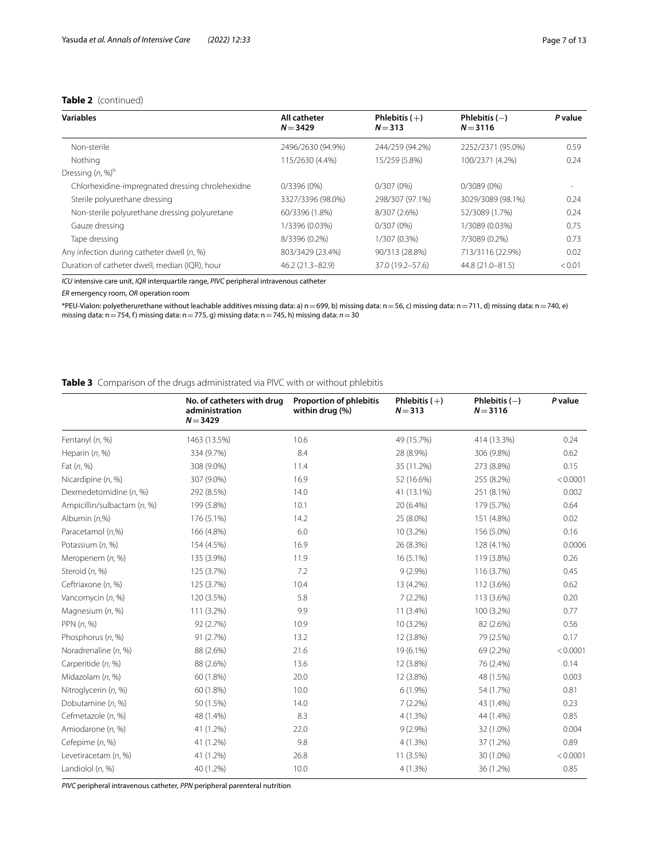## **Table 2** (continued)

| <b>Variables</b>                                 | All catheter<br>$N = 3429$ | Phlebitis $(+)$<br>$N = 313$ | Phlebitis $(-)$<br>$N = 3116$ | P value |
|--------------------------------------------------|----------------------------|------------------------------|-------------------------------|---------|
| Non-sterile                                      | 2496/2630 (94.9%)          | 244/259 (94.2%)              | 2252/2371 (95.0%)             | 0.59    |
| Nothing                                          | 115/2630 (4.4%)            | 15/259 (5.8%)                | 100/2371 (4.2%)               | 0.24    |
| Dressing $(n, %)^h$                              |                            |                              |                               |         |
| Chlorhexidine-impregnated dressing chrolehexidne | $0/3396(0\%)$              | $0/307(0\%)$                 | $0/3089(0\%)$                 |         |
| Sterile polyurethane dressing                    | 3327/3396 (98.0%)          | 298/307 (97.1%)              | 3029/3089 (98.1%)             | 0.24    |
| Non-sterile polyurethane dressing polyuretane    | 60/3396 (1.8%)             | 8/307 (2.6%)                 | 52/3089 (1.7%)                | 0.24    |
| Gauze dressing                                   | 1/3396 (0.03%)             | 0/307(0%)                    | 1/3089 (0.03%)                | 0.75    |
| Tape dressing                                    | 8/3396 (0.2%)              | 1/307 (0.3%)                 | 7/3089 (0.2%)                 | 0.73    |
| Any infection during catheter dwell (n, %)       | 803/3429 (23.4%)           | 90/313 (28.8%)               | 713/3116 (22.9%)              | 0.02    |
| Duration of catheter dwell, median (IQR), hour   | 46.2 (21.3-82.9)           | 37.0 (19.2–57.6)             | 44.8 (21.0-81.5)              | < 0.01  |

*ICU* intensive care unit, *IQR* interquartile range, *PIVC* peripheral intravenous catheter

*ER* emergency room, *OR* operation room

\*PEU-Vialon: polyetherurethane without leachable additives missing data: a) n=699, b) missing data: n=56, c) missing data: n=711, d) missing data: n=740, e) missing data: n=754, f) missing data: n=775, g) missing data: n=745, h) missing data: *n*=30

## <span id="page-6-0"></span>**Table 3** Comparison of the drugs administrated via PIVC with or without phlebitis

|                             | No. of catheters with drug<br>administration<br>$N = 3429$ | <b>Proportion of phlebitis</b><br>within drug (%) | Phlebitis $(+)$<br>$N = 313$ | Phlebitis $(-)$<br>$N = 3116$ | P value  |
|-----------------------------|------------------------------------------------------------|---------------------------------------------------|------------------------------|-------------------------------|----------|
| Fentanyl (n, %)             | 1463 (13.5%)                                               | 10.6                                              | 49 (15.7%)                   | 414 (13.3%)                   | 0.24     |
| Heparin (n, %)              | 334 (9.7%)                                                 | 8.4                                               | 28 (8.9%)                    | 306 (9.8%)                    | 0.62     |
| Fat $(n, %)$                | 308 (9.0%)                                                 | 11.4                                              | 35 (11.2%)                   | 273 (8.8%)                    | 0.15     |
| Nicardipine (n, %)          | 307 (9.0%)                                                 | 16.9                                              | 52 (16.6%)                   | 255 (8.2%)                    | < 0.0001 |
| Dexmedetomidine (n, %)      | 292 (8.5%)                                                 | 14.0                                              | 41 (13.1%)                   | 251 (8.1%)                    | 0.002    |
| Ampicillin/sulbactam (n, %) | 199 (5.8%)                                                 | 10.1                                              | 20 (6.4%)                    | 179 (5.7%)                    | 0.64     |
| Albumin $(n,%)$             | 176 (5.1%)                                                 | 14.2                                              | 25 (8.0%)                    | 151 (4.8%)                    | 0.02     |
| Paracetamol (n,%)           | 166 (4.8%)                                                 | 6.0                                               | 10 (3.2%)                    | 156 (5.0%)                    | 0.16     |
| Potassium (n, %)            | 154 (4.5%)                                                 | 16.9                                              | 26 (8.3%)                    | 128 (4.1%)                    | 0.0006   |
| Meropenem (n, %)            | 135 (3.9%)                                                 | 11.9                                              | 16 (5.1%)                    | 119 (3.8%)                    | 0.26     |
| Steroid (n, %)              | 125 (3.7%)                                                 | 7.2                                               | $9(2.9\%)$                   | 116 (3.7%)                    | 0.45     |
| Ceftriaxone (n, %)          | 125 (3.7%)                                                 | 10.4                                              | 13 (4.2%)                    | 112 (3.6%)                    | 0.62     |
| Vancomycin (n, %)           | 120 (3.5%)                                                 | 5.8                                               | $7(2.2\%)$                   | 113 (3.6%)                    | 0.20     |
| Magnesium (n, %)            | 111 (3.2%)                                                 | 9.9                                               | 11 (3.4%)                    | 100 (3.2%)                    | 0.77     |
| PPN $(n, %)$                | 92 (2.7%)                                                  | 10.9                                              | 10 (3.2%)                    | 82 (2.6%)                     | 0.56     |
| Phosphorus (n, %)           | 91 (2.7%)                                                  | 13.2                                              | 12 (3.8%)                    | 79 (2.5%)                     | 0.17     |
| Noradrenaline (n, %)        | 88 (2.6%)                                                  | 21.6                                              | 19 (6.1%)                    | 69 (2.2%)                     | < 0.0001 |
| Carperitide (n, %)          | 88 (2.6%)                                                  | 13.6                                              | 12 (3.8%)                    | 76 (2.4%)                     | 0.14     |
| Midazolam (n, %)            | 60 (1.8%)                                                  | 20.0                                              | 12 (3.8%)                    | 48 (1.5%)                     | 0.003    |
| Nitroglycerin (n, %)        | 60 (1.8%)                                                  | 10.0                                              | $6(1.9\%)$                   | 54 (1.7%)                     | 0.81     |
| Dobutamine (n, %)           | 50 (1.5%)                                                  | 14.0                                              | $7(2.2\%)$                   | 43 (1.4%)                     | 0.23     |
| Cefmetazole (n, %)          | 48 (1.4%)                                                  | 8.3                                               | $4(1.3\%)$                   | 44 (1.4%)                     | 0.85     |
| Amiodarone (n, %)           | 41 (1.2%)                                                  | 22.0                                              | $9(2.9\%)$                   | 32 (1.0%)                     | 0.004    |
| Cefepime (n, %)             | 41 (1.2%)                                                  | 9.8                                               | 4(1.3%)                      | 37 (1.2%)                     | 0.89     |
| Levetiracetam (n, %)        | 41 (1.2%)                                                  | 26.8                                              | 11 (3.5%)                    | 30 (1.0%)                     | < 0.0001 |
| Landiolol $(n, %)$          | 40 (1.2%)                                                  | 10.0                                              | 4(1.3%)                      | 36 (1.2%)                     | 0.85     |

*PIVC* peripheral intravenous catheter, *PPN* peripheral parenteral nutrition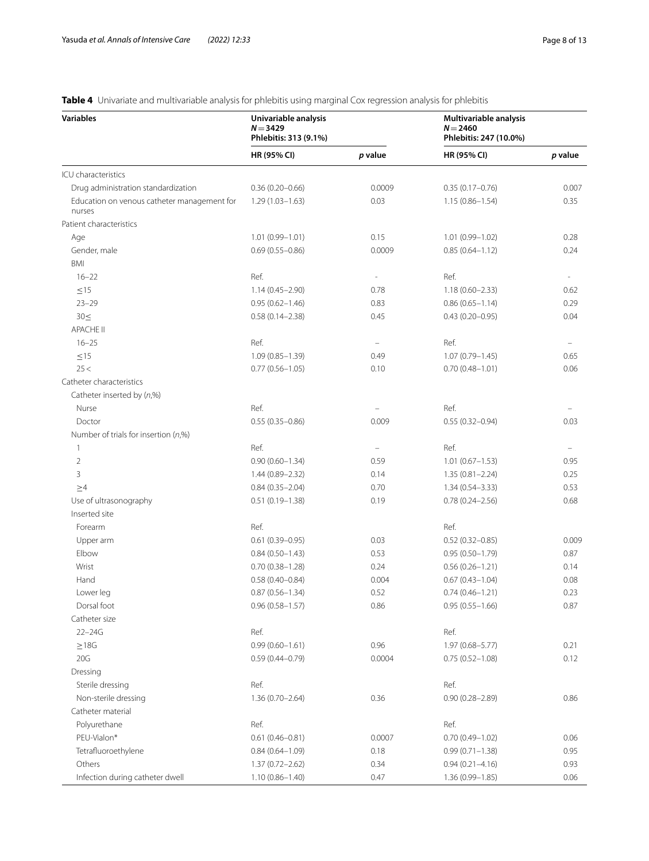## **Variables Univariable analysis** *N*=**3429 Phlebitis: 313 (9.1%) Multivariable analysis** *N*=**2460 Phlebitis: 247 (10.0%) HR (95% CI)** *p* **value HR (95% CI)** *p* **value** ICU characteristics Drug administration standardization 0.36 (0.20–0.66) 0.0009 0.35 (0.17–0.76) 0.007 Education on venous catheter management for nurses 1.29 (1.03–1.63) 0.03 1.15 (0.86–1.54) 0.35 Patient characteristics Age 1.01 (0.99–1.01) 0.15 1.01 (0.99–1.01) 0.28 Gender, male 0.69 (0.55–0.86) 0.0009 0.85 (0.64–1.12) 0.24 BMI  $16-22$  Ref.  $22$  Ref.  $22$  Ref.  $22$  Ref.  $22$  $\leq$ 15  $\leq$  1.14 (0.45–2.90) 0.78 1.18 (0.60–2.33) 0.62 23–29 0.95 (0.62–1.46) 0.83 0.86 (0.65–1.14) 0.29 30≤ 0.58 (0.14–2.38) 0.45 0.43 (0.20–0.95) 0.04 APACHE II  $16-25$  Ref.  $\overline{R}$  Ref.  $\overline{R}$   $\overline{R}$  Ref.  $\overline{R}$  Ref.  $\overline{R}$   $\overline{R}$  Ref.  $\overline{R}$   $\overline{R}$   $\overline{R}$   $\overline{R}$   $\overline{R}$   $\overline{R}$   $\overline{R}$   $\overline{R}$   $\overline{R}$   $\overline{R}$   $\overline{R}$   $\overline{R}$   $\overline{R}$   $\overline{R}$   $\overline{R}$  $\leq$ 15  $\leq$  1.09 (0.85–1.39) 0.49 1.07 (0.79–1.45) 0.65 25< 0.77 (0.56–1.05) 0.10 0.70 (0.48–1.01) 0.06 Catheter characteristics Catheter inserted by (*n*,%) Nurse Ref. – Ref. – Doctor 0.55 (0.35–0.86) 0.009 0.55 (0.32–0.94) 0.03 Number of trials for insertion (*n*,%)  $\mathsf{Ref.}$  and  $\mathsf{Ref.}$  and  $\mathsf{Ref.}$  and  $\mathsf{Ref.}$  and  $\mathsf{Ref.}$  2 0.90 (0.60–1.34) 0.59 1.01 (0.67–1.53) 0.95 3 1.44 (0.89–2.32) 0.14 1.35 (0.81–2.24) 0.25  $\geq$ 4 0.84 (0.35–2.04) 0.70 1.34 (0.54–3.33) 0.53 Use of ultrasonography 0.51 (0.19–1.38) 0.19 0.78 (0.24–2.56) 0.68 Inserted site Forearm **Ref.** Ref. **Ref.** Ref. **Ref.** Ref. **Ref.** 2. **Ref.** 2. **Ref.** 2. **Ref.** 2. **Ref.** 2. **Ref.** 2. **Ref.** 2. **Ref.** 2. **Ref.** 2. **Ref.** 2. **Ref.** 2. **Ref.** 2. **Ref.** 2. **Ref.** 2. **Ref.** 2. **Ref.** 2. **Ref.** 2. **Ref.** 2 Upper arm 0.61 (0.39–0.95) 0.61 (0.39–0.95) 0.03 0.52 (0.32–0.85) 0.009 Elbow 0.84 (0.50–1.43) 0.53 0.95 (0.50–1.79) 0.87 Wrist CD 2014 0.70 (0.38–1.28) 0.24 0.56 (0.26–1.21) 0.14 Hand 1.0004 0.58 (0.40–0.84) 0.004 0.67 (0.43–1.04) 0.08 Lower leg 0.87 (0.56–1.34) 0.52 0.74 (0.46–1.21) 0.23 Dorsal foot 0.96 (0.58–1.57) 0.86 0.95 (0.55–1.66) 0.87 Catheter size 22–24G Ref. Ref.  $\geq$ 18G 218 1.97 (0.68–5.77) 0.21 20G 0.59 (0.44–0.79) 0.0004 0.75 (0.52–1.08) 0.12 Dressing Sterile dressing Ref. 2008 and 2008 Ref. 2008 and 2008 Ref. 2008 Ref. 2008 Ref. 2008 Ref. 2008 Ref. 2008 Ref. Non-sterile dressing 0.86 (0.70-2.64) 0.36 0.90 (0.28-2.89) 0.86 Catheter material Polyurethane Ref. Ref. Ref. PEU-Vialon\* 0.61 (0.46-0.81) 0.0007 0.70 (0.49-1.02) 0.06 0.061 0.46-0.81 Tetrafluoroethylene 0.95 (0.71–1.38) 0.95 (0.71–1.38) 0.95 (0.71–1.38) 0.95 (0.71–1.38) Others 2.57 (0.72–2.62) 0.34 0.93 (0.21–4.16) 0.93 Infection during catheter dwell 1.10 (0.86–1.40) 0.47 1.36 (0.99–1.85) 0.06

## <span id="page-7-0"></span>**Table 4** Univariate and multivariable analysis for phlebitis using marginal Cox regression analysis for phlebitis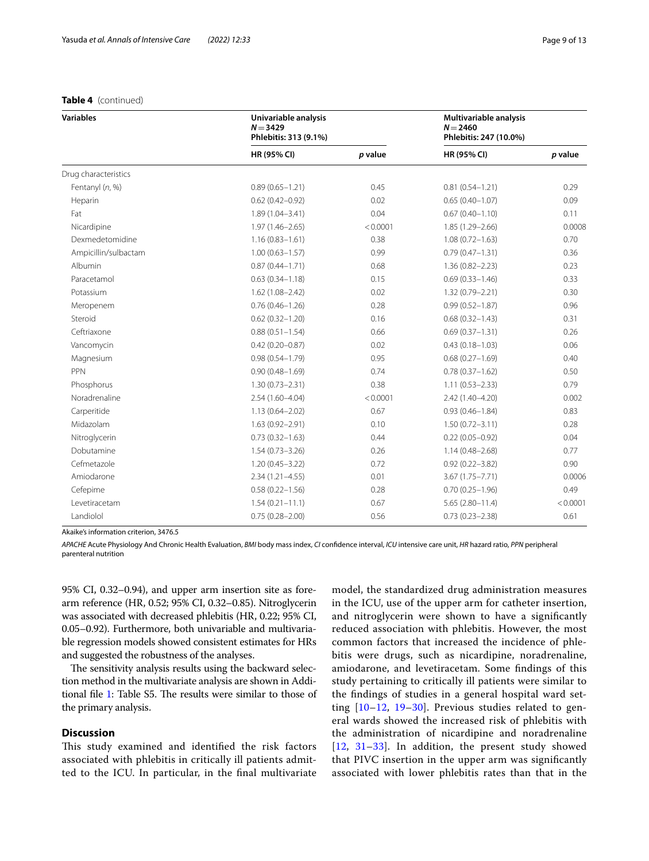## **Table 4** (continued)

| <b>Variables</b>     | Univariable analysis<br>$N = 3429$<br>Phlebitis: 313 (9.1%) |          | Multivariable analysis<br>$N = 2460$<br>Phlebitis: 247 (10.0%) |          |
|----------------------|-------------------------------------------------------------|----------|----------------------------------------------------------------|----------|
|                      | HR (95% CI)                                                 | p value  | <b>HR (95% CI)</b>                                             | p value  |
| Drug characteristics |                                                             |          |                                                                |          |
| Fentanyl (n, %)      | $0.89(0.65 - 1.21)$                                         | 0.45     | $0.81(0.54 - 1.21)$                                            | 0.29     |
| Heparin              | $0.62(0.42 - 0.92)$                                         | 0.02     | $0.65(0.40 - 1.07)$                                            | 0.09     |
| Fat                  | $1.89(1.04 - 3.41)$                                         | 0.04     | $0.67(0.40 - 1.10)$                                            | 0.11     |
| Nicardipine          | $1.97(1.46 - 2.65)$                                         | < 0.0001 | $1.85(1.29 - 2.66)$                                            | 0.0008   |
| Dexmedetomidine      | $1.16(0.83 - 1.61)$                                         | 0.38     | $1.08(0.72 - 1.63)$                                            | 0.70     |
| Ampicillin/sulbactam | $1.00(0.63 - 1.57)$                                         | 0.99     | $0.79(0.47 - 1.31)$                                            | 0.36     |
| Albumin              | $0.87(0.44 - 1.71)$                                         | 0.68     | $1.36(0.82 - 2.23)$                                            | 0.23     |
| Paracetamol          | $0.63(0.34 - 1.18)$                                         | 0.15     | $0.69(0.33 - 1.46)$                                            | 0.33     |
| Potassium            | $1.62(1.08 - 2.42)$                                         | 0.02     | $1.32(0.79 - 2.21)$                                            | 0.30     |
| Meropenem            | $0.76(0.46 - 1.26)$                                         | 0.28     | $0.99(0.52 - 1.87)$                                            | 0.96     |
| Steroid              | $0.62(0.32 - 1.20)$                                         | 0.16     | $0.68(0.32 - 1.43)$                                            | 0.31     |
| Ceftriaxone          | $0.88(0.51 - 1.54)$                                         | 0.66     | $0.69(0.37 - 1.31)$                                            | 0.26     |
| Vancomycin           | $0.42(0.20 - 0.87)$                                         | 0.02     | $0.43(0.18 - 1.03)$                                            | 0.06     |
| Magnesium            | $0.98(0.54 - 1.79)$                                         | 0.95     | $0.68(0.27 - 1.69)$                                            | 0.40     |
| PPN                  | $0.90(0.48 - 1.69)$                                         | 0.74     | $0.78(0.37 - 1.62)$                                            | 0.50     |
| Phosphorus           | $1.30(0.73 - 2.31)$                                         | 0.38     | $1.11(0.53 - 2.33)$                                            | 0.79     |
| Noradrenaline        | 2.54 (1.60-4.04)                                            | < 0.0001 | 2.42 (1.40-4.20)                                               | 0.002    |
| Carperitide          | $1.13(0.64 - 2.02)$                                         | 0.67     | $0.93(0.46 - 1.84)$                                            | 0.83     |
| Midazolam            | $1.63(0.92 - 2.91)$                                         | 0.10     | $1.50(0.72 - 3.11)$                                            | 0.28     |
| Nitroglycerin        | $0.73(0.32 - 1.63)$                                         | 0.44     | $0.22(0.05 - 0.92)$                                            | 0.04     |
| Dobutamine           | $1.54(0.73 - 3.26)$                                         | 0.26     | $1.14(0.48 - 2.68)$                                            | 0.77     |
| Cefmetazole          | $1.20(0.45 - 3.22)$                                         | 0.72     | $0.92(0.22 - 3.82)$                                            | 0.90     |
| Amiodarone           | $2.34(1.21 - 4.55)$                                         | 0.01     | $3.67(1.75 - 7.71)$                                            | 0.0006   |
| Cefepime             | $0.58(0.22 - 1.56)$                                         | 0.28     | $0.70(0.25 - 1.96)$                                            | 0.49     |
| Levetiracetam        | $1.54(0.21 - 11.1)$                                         | 0.67     | $5.65(2.80 - 11.4)$                                            | < 0.0001 |
| Landiolol            | $0.75(0.28 - 2.00)$                                         | 0.56     | $0.73(0.23 - 2.38)$                                            | 0.61     |

Akaike's information criterion, 3476.5

*APACHE* Acute Physiology And Chronic Health Evaluation, *BMI* body mass index, *CI* confdence interval, *ICU* intensive care unit, *HR* hazard ratio, *PPN* peripheral parenteral nutrition

95% CI, 0.32–0.94), and upper arm insertion site as forearm reference (HR, 0.52; 95% CI, 0.32–0.85). Nitroglycerin was associated with decreased phlebitis (HR, 0.22; 95% CI, 0.05–0.92). Furthermore, both univariable and multivariable regression models showed consistent estimates for HRs and suggested the robustness of the analyses.

The sensitivity analysis results using the backward selection method in the multivariate analysis are shown in Addi-tional file [1](#page-10-0): Table S5. The results were similar to those of the primary analysis.

## **Discussion**

This study examined and identified the risk factors associated with phlebitis in critically ill patients admitted to the ICU. In particular, in the fnal multivariate model, the standardized drug administration measures in the ICU, use of the upper arm for catheter insertion, and nitroglycerin were shown to have a signifcantly reduced association with phlebitis. However, the most common factors that increased the incidence of phlebitis were drugs, such as nicardipine, noradrenaline, amiodarone, and levetiracetam. Some fndings of this study pertaining to critically ill patients were similar to the fndings of studies in a general hospital ward setting [[10](#page-11-10)[–12](#page-11-11), [19](#page-11-12)[–30](#page-12-0)]. Previous studies related to general wards showed the increased risk of phlebitis with the administration of nicardipine and noradrenaline [[12](#page-11-11), [31](#page-12-1)[–33\]](#page-12-2). In addition, the present study showed that PIVC insertion in the upper arm was signifcantly associated with lower phlebitis rates than that in the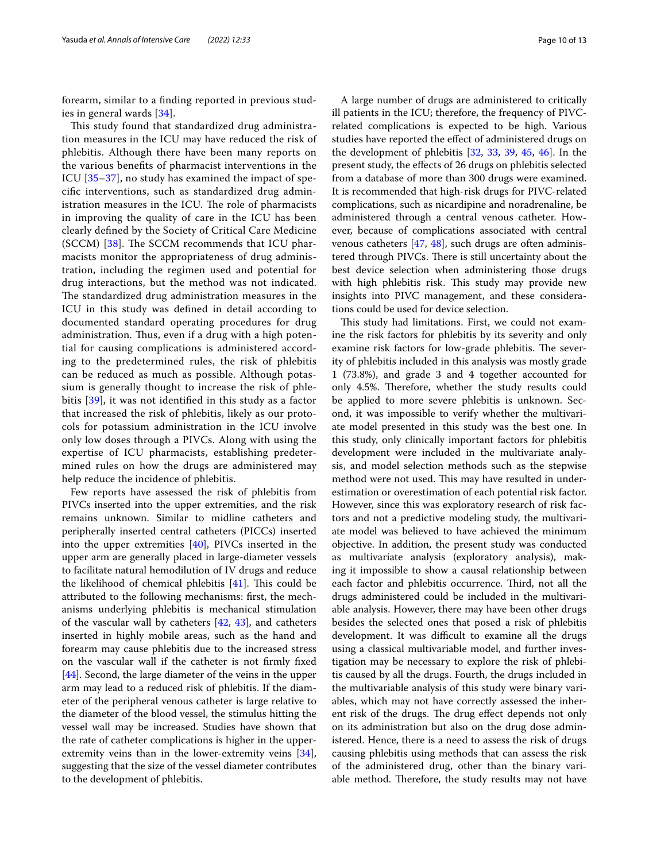forearm, similar to a fnding reported in previous studies in general wards [\[34](#page-12-3)].

This study found that standardized drug administration measures in the ICU may have reduced the risk of phlebitis. Although there have been many reports on the various benefts of pharmacist interventions in the ICU [[35–](#page-12-4)[37\]](#page-12-5), no study has examined the impact of specifc interventions, such as standardized drug administration measures in the ICU. The role of pharmacists in improving the quality of care in the ICU has been clearly defned by the Society of Critical Care Medicine (SCCM)  $[38]$ . The SCCM recommends that ICU pharmacists monitor the appropriateness of drug administration, including the regimen used and potential for drug interactions, but the method was not indicated. The standardized drug administration measures in the ICU in this study was defned in detail according to documented standard operating procedures for drug administration. Thus, even if a drug with a high potential for causing complications is administered according to the predetermined rules, the risk of phlebitis can be reduced as much as possible. Although potassium is generally thought to increase the risk of phlebitis [\[39\]](#page-12-7), it was not identifed in this study as a factor that increased the risk of phlebitis, likely as our protocols for potassium administration in the ICU involve only low doses through a PIVCs. Along with using the expertise of ICU pharmacists, establishing predetermined rules on how the drugs are administered may help reduce the incidence of phlebitis.

Few reports have assessed the risk of phlebitis from PIVCs inserted into the upper extremities, and the risk remains unknown. Similar to midline catheters and peripherally inserted central catheters (PICCs) inserted into the upper extremities [[40\]](#page-12-8), PIVCs inserted in the upper arm are generally placed in large-diameter vessels to facilitate natural hemodilution of IV drugs and reduce the likelihood of chemical phlebitis  $[41]$  $[41]$  $[41]$ . This could be attributed to the following mechanisms: frst, the mechanisms underlying phlebitis is mechanical stimulation of the vascular wall by catheters [[42,](#page-12-10) [43](#page-12-11)], and catheters inserted in highly mobile areas, such as the hand and forearm may cause phlebitis due to the increased stress on the vascular wall if the catheter is not frmly fxed [[44\]](#page-12-12). Second, the large diameter of the veins in the upper arm may lead to a reduced risk of phlebitis. If the diameter of the peripheral venous catheter is large relative to the diameter of the blood vessel, the stimulus hitting the vessel wall may be increased. Studies have shown that the rate of catheter complications is higher in the upperextremity veins than in the lower-extremity veins [\[34](#page-12-3)], suggesting that the size of the vessel diameter contributes to the development of phlebitis.

A large number of drugs are administered to critically ill patients in the ICU; therefore, the frequency of PIVCrelated complications is expected to be high. Various studies have reported the efect of administered drugs on the development of phlebitis [[32](#page-12-13), [33](#page-12-2), [39,](#page-12-7) [45](#page-12-14), [46](#page-12-15)]. In the present study, the efects of 26 drugs on phlebitis selected from a database of more than 300 drugs were examined. It is recommended that high-risk drugs for PIVC-related complications, such as nicardipine and noradrenaline, be administered through a central venous catheter. However, because of complications associated with central venous catheters [\[47](#page-12-16), [48](#page-12-17)], such drugs are often administered through PIVCs. There is still uncertainty about the best device selection when administering those drugs with high phlebitis risk. This study may provide new insights into PIVC management, and these considerations could be used for device selection.

This study had limitations. First, we could not examine the risk factors for phlebitis by its severity and only examine risk factors for low-grade phlebitis. The severity of phlebitis included in this analysis was mostly grade 1 (73.8%), and grade 3 and 4 together accounted for only 4.5%. Therefore, whether the study results could be applied to more severe phlebitis is unknown. Second, it was impossible to verify whether the multivariate model presented in this study was the best one. In this study, only clinically important factors for phlebitis development were included in the multivariate analysis, and model selection methods such as the stepwise method were not used. This may have resulted in underestimation or overestimation of each potential risk factor. However, since this was exploratory research of risk factors and not a predictive modeling study, the multivariate model was believed to have achieved the minimum objective. In addition, the present study was conducted as multivariate analysis (exploratory analysis), making it impossible to show a causal relationship between each factor and phlebitis occurrence. Third, not all the drugs administered could be included in the multivariable analysis. However, there may have been other drugs besides the selected ones that posed a risk of phlebitis development. It was difficult to examine all the drugs using a classical multivariable model, and further investigation may be necessary to explore the risk of phlebitis caused by all the drugs. Fourth, the drugs included in the multivariable analysis of this study were binary variables, which may not have correctly assessed the inherent risk of the drugs. The drug effect depends not only on its administration but also on the drug dose administered. Hence, there is a need to assess the risk of drugs causing phlebitis using methods that can assess the risk of the administered drug, other than the binary variable method. Therefore, the study results may not have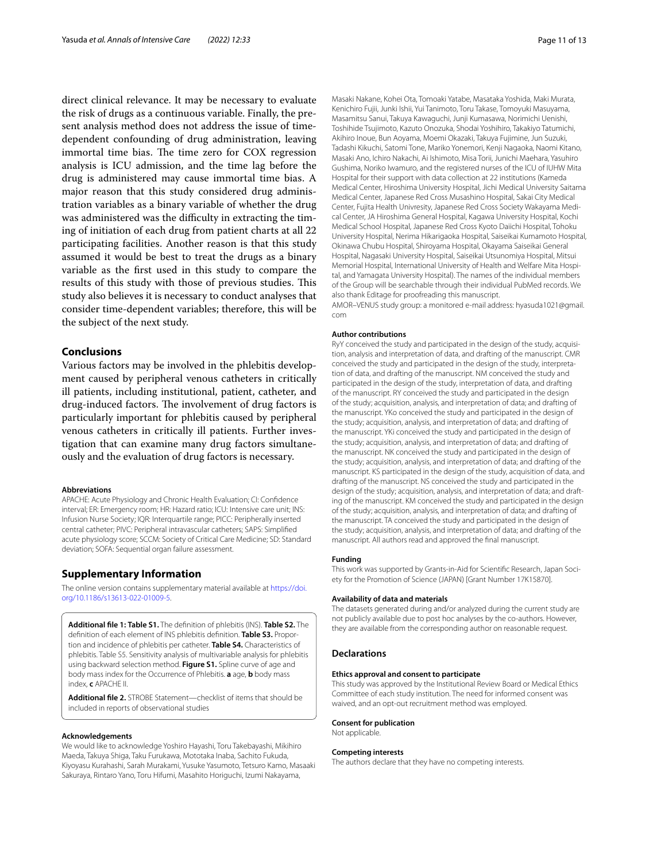direct clinical relevance. It may be necessary to evaluate the risk of drugs as a continuous variable. Finally, the present analysis method does not address the issue of timedependent confounding of drug administration, leaving immortal time bias. The time zero for COX regression analysis is ICU admission, and the time lag before the drug is administered may cause immortal time bias. A major reason that this study considered drug administration variables as a binary variable of whether the drug was administered was the difficulty in extracting the timing of initiation of each drug from patient charts at all 22 participating facilities. Another reason is that this study assumed it would be best to treat the drugs as a binary variable as the frst used in this study to compare the results of this study with those of previous studies. This study also believes it is necessary to conduct analyses that consider time-dependent variables; therefore, this will be the subject of the next study.

#### **Conclusions**

Various factors may be involved in the phlebitis development caused by peripheral venous catheters in critically ill patients, including institutional, patient, catheter, and drug-induced factors. The involvement of drug factors is particularly important for phlebitis caused by peripheral venous catheters in critically ill patients. Further investigation that can examine many drug factors simultaneously and the evaluation of drug factors is necessary.

#### **Abbreviations**

APACHE: Acute Physiology and Chronic Health Evaluation; CI: Confdence interval; ER: Emergency room; HR: Hazard ratio; ICU: Intensive care unit; INS: Infusion Nurse Society; IQR: Interquartile range; PICC: Peripherally inserted central catheter; PIVC: Peripheral intravascular catheters; SAPS: Simplifed acute physiology score; SCCM: Society of Critical Care Medicine; SD: Standard deviation; SOFA: Sequential organ failure assessment.

#### **Supplementary Information**

The online version contains supplementary material available at [https://doi.](https://doi.org/10.1186/s13613-022-01009-5) [org/10.1186/s13613-022-01009-5](https://doi.org/10.1186/s13613-022-01009-5).

<span id="page-10-0"></span>**Additional fle 1: Table S1.** The defnition of phlebitis (INS). **Table S2.** The defnition of each element of INS phlebitis defnition. **Table S3.** Proportion and incidence of phlebitis per catheter. **Table S4.** Characteristics of phlebitis. Table S5. Sensitivity analysis of multivariable analysis for phlebitis using backward selection method. **Figure S1.** Spline curve of age and body mass index for the Occurrence of Phlebitis. **a** age, **b** body mass index, **c** APACHE II.

<span id="page-10-1"></span>**Additional fle 2.** STROBE Statement—checklist of items that should be included in reports of observational studies

#### **Acknowledgements**

We would like to acknowledge Yoshiro Hayashi, Toru Takebayashi, Mikihiro Maeda, Takuya Shiga, Taku Furukawa, Mototaka Inaba, Sachito Fukuda, Kiyoyasu Kurahashi, Sarah Murakami, Yusuke Yasumoto, Tetsuro Kamo, Masaaki Sakuraya, Rintaro Yano, Toru Hifumi, Masahito Horiguchi, Izumi Nakayama,

Masaki Nakane, Kohei Ota, Tomoaki Yatabe, Masataka Yoshida, Maki Murata, Kenichiro Fujii, Junki Ishii, Yui Tanimoto, Toru Takase, Tomoyuki Masuyama, Masamitsu Sanui, Takuya Kawaguchi, Junji Kumasawa, Norimichi Uenishi, Toshihide Tsujimoto, Kazuto Onozuka, Shodai Yoshihiro, Takakiyo Tatumichi, Akihiro Inoue, Bun Aoyama, Moemi Okazaki, Takuya Fujimine, Jun Suzuki, Tadashi Kikuchi, Satomi Tone, Mariko Yonemori, Kenji Nagaoka, Naomi Kitano, Masaki Ano, Ichiro Nakachi, Ai Ishimoto, Misa Torii, Junichi Maehara, Yasuhiro Gushima, Noriko Iwamuro, and the registered nurses of the ICU of IUHW Mita Hospital for their support with data collection at 22 institutions (Kameda Medical Center, Hiroshima University Hospital, Jichi Medical University Saitama Medical Center, Japanese Red Cross Musashino Hospital, Sakai City Medical Center, Fujita Health Univresity, Japanese Red Cross Society Wakayama Medical Center, JA Hiroshima General Hospital, Kagawa University Hospital, Kochi Medical School Hospital, Japanese Red Cross Kyoto Daiichi Hospital, Tohoku University Hospital, Nerima Hikarigaoka Hospital, Saiseikai Kumamoto Hospital, Okinawa Chubu Hospital, Shiroyama Hospital, Okayama Saiseikai General Hospital, Nagasaki University Hospital, Saiseikai Utsunomiya Hospital, Mitsui Memorial Hospital, International University of Health and Welfare Mita Hospital, and Yamagata University Hospital). The names of the individual members of the Group will be searchable through their individual PubMed records. We also thank Editage for proofreading this manuscript.

AMOR–VENUS study group: a monitored e-mail address: hyasuda1021@gmail. com

#### **Author contributions**

RyY conceived the study and participated in the design of the study, acquisition, analysis and interpretation of data, and drafting of the manuscript. CMR conceived the study and participated in the design of the study, interpretation of data, and drafting of the manuscript. NM conceived the study and participated in the design of the study, interpretation of data, and drafting of the manuscript. RY conceived the study and participated in the design of the study; acquisition, analysis, and interpretation of data; and drafting of the manuscript. YKo conceived the study and participated in the design of the study; acquisition, analysis, and interpretation of data; and drafting of the manuscript. YKi conceived the study and participated in the design of the study; acquisition, analysis, and interpretation of data; and drafting of the manuscript. NK conceived the study and participated in the design of the study; acquisition, analysis, and interpretation of data; and drafting of the manuscript. KS participated in the design of the study, acquisition of data, and drafting of the manuscript. NS conceived the study and participated in the design of the study; acquisition, analysis, and interpretation of data; and drafting of the manuscript. KM conceived the study and participated in the design of the study; acquisition, analysis, and interpretation of data; and drafting of the manuscript. TA conceived the study and participated in the design of the study; acquisition, analysis, and interpretation of data; and drafting of the manuscript. All authors read and approved the fnal manuscript.

#### **Funding**

This work was supported by Grants-in-Aid for Scientifc Research, Japan Society for the Promotion of Science (JAPAN) [Grant Number 17K15870].

#### **Availability of data and materials**

The datasets generated during and/or analyzed during the current study are not publicly available due to post hoc analyses by the co-authors. However, they are available from the corresponding author on reasonable request.

#### **Declarations**

#### **Ethics approval and consent to participate**

This study was approved by the Institutional Review Board or Medical Ethics Committee of each study institution. The need for informed consent was waived, and an opt-out recruitment method was employed.

#### **Consent for publication**

Not applicable.

#### **Competing interests**

The authors declare that they have no competing interests.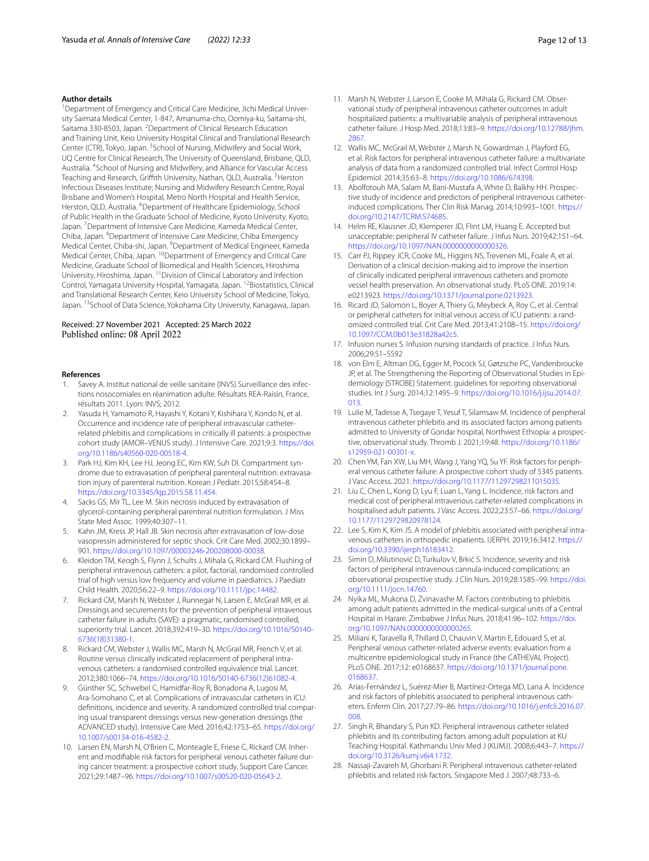#### **Author details**

<sup>1</sup> Department of Emergency and Critical Care Medicine, Jichi Medical University Saimata Medical Center, 1-847, Amanuma-cho, Oomiya-ku, Saitama-shi, Saitama 330-8503, Japan. <sup>2</sup> Department of Clinical Research Education and Training Unit, Keio University Hospital Clinical and Translational Research Center (CTR), Tokyo, Japan. <sup>3</sup>School of Nursing, Midwifery and Social Work, UQ Centre for Clinical Research, The University of Queensland, Brisbane, QLD, Australia. 4 School of Nursing and Midwifery, and Alliance for Vascular Access Teaching and Research, Griffith University, Nathan, QLD, Australia. <sup>5</sup>Herston Infectious Diseases Institute; Nursing and Midwifery Research Centre, Royal Brisbane and Women's Hospital, Metro North Hospital and Health Service, Herston, QLD, Australia. <sup>6</sup> Department of Healthcare Epidemiology, School of Public Health in the Graduate School of Medicine, Kyoto University, Kyoto, Japan.<sup>7</sup> Department of Intensive Care Medicine, Kameda Medical Center, Chiba, Japan. <sup>8</sup> Department of Intensive Care Medicine, Chiba Emergency Medical Center, Chiba-shi, Japan. <sup>9</sup> Department of Medical Engineer, Kameda Medical Center, Chiba, Japan. <sup>10</sup>Department of Emergency and Critical Care Medicine, Graduate School of Biomedical and Health Sciences, Hiroshima University, Hiroshima, Japan. 11Division of Clinical Laboratory and Infection Control, Yamagata University Hospital, Yamagata, Japan. <sup>12</sup>Biostatistics, Clinical and Translational Research Center, Keio University School of Medicine, Tokyo, Japan. <sup>13</sup> School of Data Science, Yokohama City University, Kanagawa, Japan.

#### Received: 27 November 2021 Accepted: 25 March 2022 Published online: 08 April 2022

#### **References**

- <span id="page-11-0"></span>Savey A. Institut national de veille sanitaire (INVS) Surveillance des infections nosocomiales en réanimation adulte. Résultats REA-Raisin, France, résultats 2011. Lyon: INVS; 2012.
- <span id="page-11-1"></span>2. Yasuda H, Yamamoto R, Hayashi Y, Kotani Y, Kishihara Y, Kondo N, et al. Occurrence and incidence rate of peripheral intravascular catheterrelated phlebitis and complications in critically ill patients: a prospective cohort study (AMOR–VENUS study). J Intensive Care. 2021;9:3. [https://doi.](https://doi.org/10.1186/s40560-020-00518-4) [org/10.1186/s40560-020-00518-4](https://doi.org/10.1186/s40560-020-00518-4).
- <span id="page-11-2"></span>3. Park HJ, Kim KH, Lee HJ, Jeong EC, Kim KW, Suh DI. Compartment syndrome due to extravasation of peripheral parenteral nutrition: extravasation injury of parenteral nutrition. Korean J Pediatr. 2015;58:454–8. [https://doi.org/10.3345/kjp.2015.58.11.454.](https://doi.org/10.3345/kjp.2015.58.11.454)
- Sacks GS, Mir TL, Lee M. Skin necrosis induced by extravasation of glycerol-containing peripheral parenteral nutrition formulation. J Miss State Med Assoc. 1999;40:307–11.
- <span id="page-11-3"></span>5. Kahn JM, Kress JP, Hall JB. Skin necrosis after extravasation of low-dose vasopressin administered for septic shock. Crit Care Med. 2002;30:1899– 901. <https://doi.org/10.1097/00003246-200208000-00038>.
- <span id="page-11-4"></span>6. Kleidon TM, Keogh S, Flynn J, Schults J, Mihala G, Rickard CM. Flushing of peripheral intravenous catheters: a pilot, factorial, randomised controlled trial of high versus low frequency and volume in paediatrics. J Paediatr Child Health. 2020;56:22–9. <https://doi.org/10.1111/jpc.14482>.
- 7. Rickard CM, Marsh N, Webster J, Runnegar N, Larsen E, McGrail MR, et al. Dressings and securements for the prevention of peripheral intravenous catheter failure in adults (SAVE): a pragmatic, randomised controlled, superiority trial. Lancet. 2018;392:419–30. [https://doi.org/10.1016/S0140-](https://doi.org/10.1016/S0140-6736(18)31380-1) [6736\(18\)31380-1.](https://doi.org/10.1016/S0140-6736(18)31380-1)
- 8. Rickard CM, Webster J, Wallis MC, Marsh N, McGrail MR, French V, et al. Routine versus clinically indicated replacement of peripheral intravenous catheters: a randomised controlled equivalence trial. Lancet. 2012;380:1066–74. [https://doi.org/10.1016/S0140-6736\(12\)61082-4.](https://doi.org/10.1016/S0140-6736(12)61082-4)
- <span id="page-11-6"></span>9. Günther SC, Schwebel C, Hamidfar-Roy R, Bonadona A, Lugosi M, Ara-Somohano C, et al. Complications of intravascular catheters in ICU: defnitions, incidence and severity. A randomized controlled trial comparing usual transparent dressings versus new-generation dressings (the ADVANCED study). Intensive Care Med. 2016;42:1753–65. [https://doi.org/](https://doi.org/10.1007/s00134-016-4582-2) [10.1007/s00134-016-4582-2.](https://doi.org/10.1007/s00134-016-4582-2)
- <span id="page-11-10"></span>10. Larsen EN, Marsh N, O'Brien C, Monteagle E, Friese C, Rickard CM. Inherent and modifable risk factors for peripheral venous catheter failure during cancer treatment: a prospective cohort study. Support Care Cancer. 2021;29:1487–96. [https://doi.org/10.1007/s00520-020-05643-2.](https://doi.org/10.1007/s00520-020-05643-2)
- 11. Marsh N, Webster J, Larson E, Cooke M, Mihala G, Rickard CM. Observational study of peripheral intravenous catheter outcomes in adult hospitalized patients: a multivariable analysis of peripheral intravenous catheter failure. J Hosp Med. 2018;13:83–9. [https://doi.org/10.12788/jhm.](https://doi.org/10.12788/jhm.2867) [2867](https://doi.org/10.12788/jhm.2867).
- <span id="page-11-11"></span>12. Wallis MC, McGrail M, Webster J, Marsh N, Gowardman J, Playford EG, et al. Risk factors for peripheral intravenous catheter failure: a multivariate analysis of data from a randomized controlled trial. Infect Control Hosp Epidemiol. 2014;35:63–8. [https://doi.org/10.1086/674398.](https://doi.org/10.1086/674398)
- 13. Abolfotouh MA, Salam M, Bani-Mustafa A, White D, Balkhy HH. Prospective study of incidence and predictors of peripheral intravenous catheterinduced complications. Ther Clin Risk Manag. 2014;10:993–1001. [https://](https://doi.org/10.2147/TCRM.S74685) [doi.org/10.2147/TCRM.S74685.](https://doi.org/10.2147/TCRM.S74685)
- 14. Helm RE, Klausner JD, Klemperer JD, Flint LM, Huang E. Accepted but unacceptable: peripheral IV catheter failure. J Infus Nurs. 2019;42:151–64. <https://doi.org/10.1097/NAN.0000000000000326>.
- <span id="page-11-5"></span>15. Carr PJ, Rippey JCR, Cooke ML, Higgins NS, Trevenen ML, Foale A, et al. Derivation of a clinical decision-making aid to improve the insertion of clinically indicated peripheral intravenous catheters and promote vessel health preservation. An observational study. PLoS ONE. 2019;14: e0213923. <https://doi.org/10.1371/journal.pone.0213923>.
- <span id="page-11-7"></span>16. Ricard JD, Salomon L, Boyer A, Thiery G, Meybeck A, Roy C, et al. Central or peripheral catheters for initial venous access of ICU patients: a randomized controlled trial. Crit Care Med. 2013;41:2108–15. [https://doi.org/](https://doi.org/10.1097/CCM.0b013e31828a42c5) [10.1097/CCM.0b013e31828a42c5.](https://doi.org/10.1097/CCM.0b013e31828a42c5)
- <span id="page-11-8"></span>17. Infusion nurses S. Infusion nursing standards of practice. J Infus Nurs. 2006;29:S1–SS92
- <span id="page-11-9"></span>18. von Elm E, Altman DG, Egger M, Pocock SJ, Gøtzsche PC, Vandenbroucke JP, et al. The Strengthening the Reporting of Observational Studies in Epidemiology (STROBE) Statement: guidelines for reporting observational studies. Int J Surg. 2014;12:1495–9. [https://doi.org/10.1016/j.ijsu.2014.07.](https://doi.org/10.1016/j.ijsu.2014.07.013) [013.](https://doi.org/10.1016/j.ijsu.2014.07.013)
- <span id="page-11-12"></span>19. Lulie M, Tadesse A, Tsegaye T, Yesuf T, Silamsaw M. Incidence of peripheral intravenous catheter phlebitis and its associated factors among patients admitted to University of Gondar hospital, Northwest Ethiopia: a prospective, observational study. Thromb J. 2021;19:48. [https://doi.org/10.1186/](https://doi.org/10.1186/s12959-021-00301-x) [s12959-021-00301-x](https://doi.org/10.1186/s12959-021-00301-x).
- 20. Chen YM, Fan XW, Liu MH, Wang J, Yang YQ, Su YF. Risk factors for peripheral venous catheter failure: A prospective cohort study of 5345 patients. J Vasc Access. 2021.<https://doi.org/10.1177/11297298211015035>.
- 21. Liu C, Chen L, Kong D, Lyu F, Luan L, Yang L. Incidence, risk factors and medical cost of peripheral intravenous catheter-related complications in hospitalised adult patients. J Vasc Access. 2022;23:57–66. [https://doi.org/](https://doi.org/10.1177/1129729820978124) [10.1177/1129729820978124](https://doi.org/10.1177/1129729820978124).
- 22. Lee S, Kim K, Kim JS. A model of phlebitis associated with peripheral intravenous catheters in orthopedic inpatients. IJERPH. 2019;16:3412. [https://](https://doi.org/10.3390/ijerph16183412) [doi.org/10.3390/ijerph16183412.](https://doi.org/10.3390/ijerph16183412)
- 23. Simin D, Milutinović D, Turkulov V, Brkić S. Incidence, severity and risk factors of peripheral intravenous cannula-induced complications: an observational prospective study. J Clin Nurs. 2019;28:1585–99. [https://doi.](https://doi.org/10.1111/jocn.14760) [org/10.1111/jocn.14760](https://doi.org/10.1111/jocn.14760).
- 24. Nyika ML, Mukona D, Zvinavashe M. Factors contributing to phlebitis among adult patients admitted in the medical-surgical units of a Central Hospital in Harare. Zimbabwe J Infus Nurs. 2018;41:96–102. [https://doi.](https://doi.org/10.1097/NAN.0000000000000265) [org/10.1097/NAN.0000000000000265](https://doi.org/10.1097/NAN.0000000000000265).
- 25. Miliani K, Taravella R, Thillard D, Chauvin V, Martin E, Edouard S, et al. Peripheral venous catheter-related adverse events: evaluation from a multicentre epidemiological study in France (the CATHEVAL Project). PLoS ONE. 2017;12: e0168637. [https://doi.org/10.1371/journal.pone.](https://doi.org/10.1371/journal.pone.0168637) [0168637](https://doi.org/10.1371/journal.pone.0168637).
- 26. Arias-Fernández L, Suérez-Mier B, Martínez-Ortega MD, Lana A. Incidence and risk factors of phlebitis associated to peripheral intravenous catheters. Enferm Clin. 2017;27:79–86. [https://doi.org/10.1016/j.enfcli.2016.07.](https://doi.org/10.1016/j.enfcli.2016.07.008) [008.](https://doi.org/10.1016/j.enfcli.2016.07.008)
- 27. Singh R, Bhandary S, Pun KD. Peripheral intravenous catheter related phlebitis and its contributing factors among adult population at KU Teaching Hospital. Kathmandu Univ Med J (KUMJ). 2008;6:443–7. [https://](https://doi.org/10.3126/kumj.v6i4.1732) [doi.org/10.3126/kumj.v6i4.1732.](https://doi.org/10.3126/kumj.v6i4.1732)
- 28. Nassaji-Zavareh M, Ghorbani R. Peripheral intravenous catheter-related phlebitis and related risk factors. Singapore Med J. 2007;48:733–6.